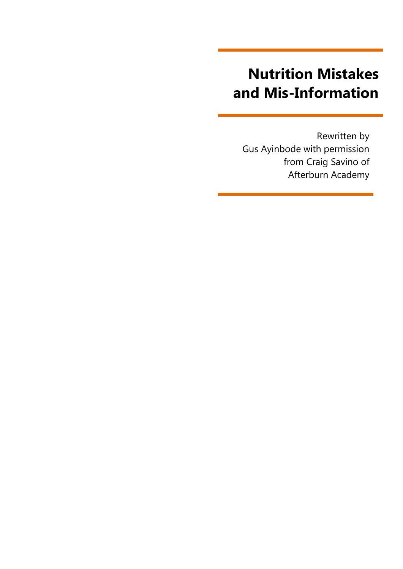#### **Nutrition Mistakes and Mis-Information**

Rewritten by Gus Ayinbode with permission from Craig Savino of Afterburn Academy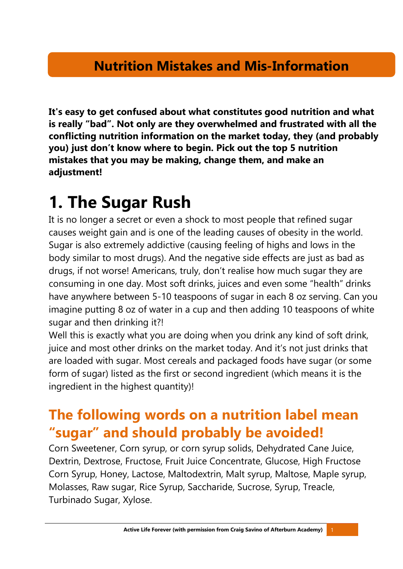#### **Nutrition Mistakes and Mis-Information**

**It's easy to get confused about what constitutes good nutrition and what is really "bad". Not only are they overwhelmed and frustrated with all the conflicting nutrition information on the market today, they (and probably you) just don't know where to begin. Pick out the top 5 nutrition mistakes that you may be making, change them, and make an adjustment!**

#### **1. The Sugar Rush**

It is no longer a secret or even a shock to most people that refined sugar causes weight gain and is one of the leading causes of obesity in the world. Sugar is also extremely addictive (causing feeling of highs and lows in the body similar to most drugs). And the negative side effects are just as bad as drugs, if not worse! Americans, truly, don't realise how much sugar they are consuming in one day. Most soft drinks, juices and even some "health" drinks have anywhere between 5-10 teaspoons of sugar in each 8 oz serving. Can you imagine putting 8 oz of water in a cup and then adding 10 teaspoons of white sugar and then drinking it?!

Well this is exactly what you are doing when you drink any kind of soft drink, juice and most other drinks on the market today. And it's not just drinks that are loaded with sugar. Most cereals and packaged foods have sugar (or some form of sugar) listed as the first or second ingredient (which means it is the ingredient in the highest quantity)!

#### **The following words on a nutrition label mean "sugar" and should probably be avoided!**

Corn Sweetener, Corn syrup, or corn syrup solids, Dehydrated Cane Juice, Dextrin, Dextrose, Fructose, Fruit Juice Concentrate, Glucose, High Fructose Corn Syrup, Honey, Lactose, Maltodextrin, Malt syrup, Maltose, Maple syrup, Molasses, Raw sugar, Rice Syrup, Saccharide, Sucrose, Syrup, Treacle, Turbinado Sugar, Xylose.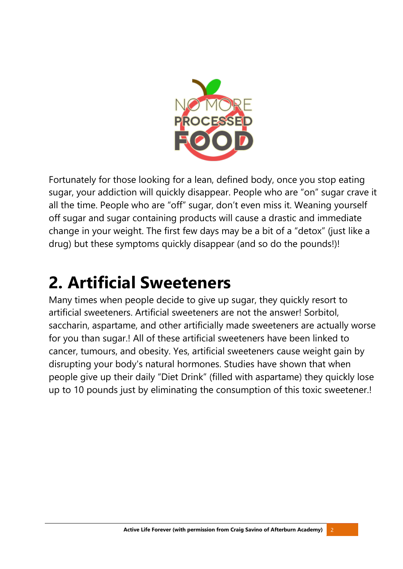

Fortunately for those looking for a lean, defined body, once you stop eating sugar, your addiction will quickly disappear. People who are "on" sugar crave it all the time. People who are "off" sugar, don't even miss it. Weaning yourself off sugar and sugar containing products will cause a drastic and immediate change in your weight. The first few days may be a bit of a "detox" (just like a drug) but these symptoms quickly disappear (and so do the pounds!)!

### **2. Artificial Sweeteners**

Many times when people decide to give up sugar, they quickly resort to artificial sweeteners. Artificial sweeteners are not the answer! Sorbitol, saccharin, aspartame, and other artificially made sweeteners are actually worse for you than sugar.! All of these artificial sweeteners have been linked to cancer, tumours, and obesity. Yes, artificial sweeteners cause weight gain by disrupting your body's natural hormones. Studies have shown that when people give up their daily "Diet Drink" (filled with aspartame) they quickly lose up to 10 pounds just by eliminating the consumption of this toxic sweetener.!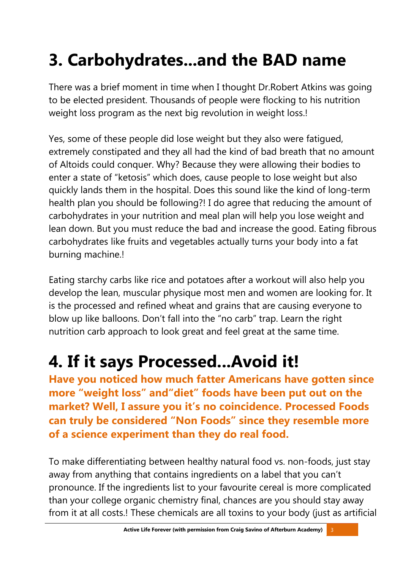## **3. Carbohydrates...and the BAD name**

There was a brief moment in time when I thought Dr.Robert Atkins was going to be elected president. Thousands of people were flocking to his nutrition weight loss program as the next big revolution in weight loss.!

Yes, some of these people did lose weight but they also were fatigued, extremely constipated and they all had the kind of bad breath that no amount of Altoids could conquer. Why? Because they were allowing their bodies to enter a state of "ketosis" which does, cause people to lose weight but also quickly lands them in the hospital. Does this sound like the kind of long-term health plan you should be following?! I do agree that reducing the amount of carbohydrates in your nutrition and meal plan will help you lose weight and lean down. But you must reduce the bad and increase the good. Eating fibrous carbohydrates like fruits and vegetables actually turns your body into a fat burning machine.!

Eating starchy carbs like rice and potatoes after a workout will also help you develop the lean, muscular physique most men and women are looking for. It is the processed and refined wheat and grains that are causing everyone to blow up like balloons. Don't fall into the "no carb" trap. Learn the right nutrition carb approach to look great and feel great at the same time.

### **4. If it says Processed...Avoid it!**

**Have you noticed how much fatter Americans have gotten since more "weight loss" and"diet" foods have been put out on the market? Well, I assure you it's no coincidence. Processed Foods can truly be considered "Non Foods" since they resemble more of a science experiment than they do real food.**

To make differentiating between healthy natural food vs. non-foods, just stay away from anything that contains ingredients on a label that you can't pronounce. If the ingredients list to your favourite cereal is more complicated than your college organic chemistry final, chances are you should stay away from it at all costs.! These chemicals are all toxins to your body (just as artificial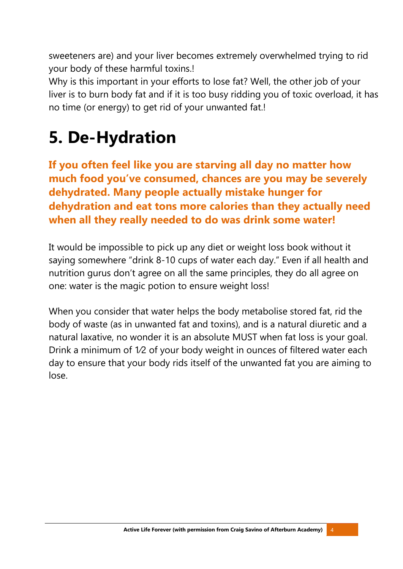sweeteners are) and your liver becomes extremely overwhelmed trying to rid your body of these harmful toxins.!

Why is this important in your efforts to lose fat? Well, the other job of your liver is to burn body fat and if it is too busy ridding you of toxic overload, it has no time (or energy) to get rid of your unwanted fat.!

### **5. De-Hydration**

**If you often feel like you are starving all day no matter how much food you've consumed, chances are you may be severely dehydrated. Many people actually mistake hunger for dehydration and eat tons more calories than they actually need when all they really needed to do was drink some water!**

It would be impossible to pick up any diet or weight loss book without it saying somewhere "drink 8-10 cups of water each day." Even if all health and nutrition gurus don't agree on all the same principles, they do all agree on one: water is the magic potion to ensure weight loss!

When you consider that water helps the body metabolise stored fat, rid the body of waste (as in unwanted fat and toxins), and is a natural diuretic and a natural laxative, no wonder it is an absolute MUST when fat loss is your goal. Drink a minimum of 1⁄2 of your body weight in ounces of filtered water each day to ensure that your body rids itself of the unwanted fat you are aiming to lose.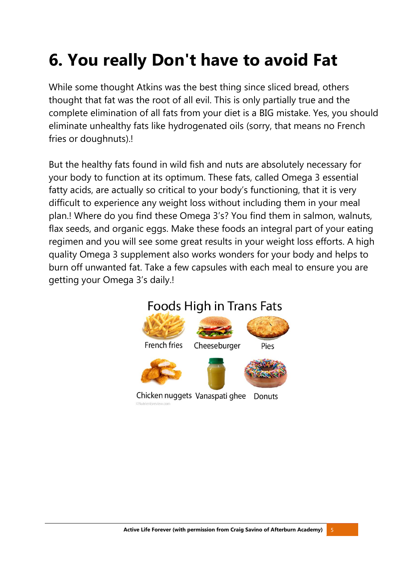# **6. You really Don't have to avoid Fat**

While some thought Atkins was the best thing since sliced bread, others thought that fat was the root of all evil. This is only partially true and the complete elimination of all fats from your diet is a BIG mistake. Yes, you should eliminate unhealthy fats like hydrogenated oils (sorry, that means no French fries or doughnuts).!

But the healthy fats found in wild fish and nuts are absolutely necessary for your body to function at its optimum. These fats, called Omega 3 essential fatty acids, are actually so critical to your body's functioning, that it is very difficult to experience any weight loss without including them in your meal plan.! Where do you find these Omega 3's? You find them in salmon, walnuts, flax seeds, and organic eggs. Make these foods an integral part of your eating regimen and you will see some great results in your weight loss efforts. A high quality Omega 3 supplement also works wonders for your body and helps to burn off unwanted fat. Take a few capsules with each meal to ensure you are getting your Omega 3's daily.!

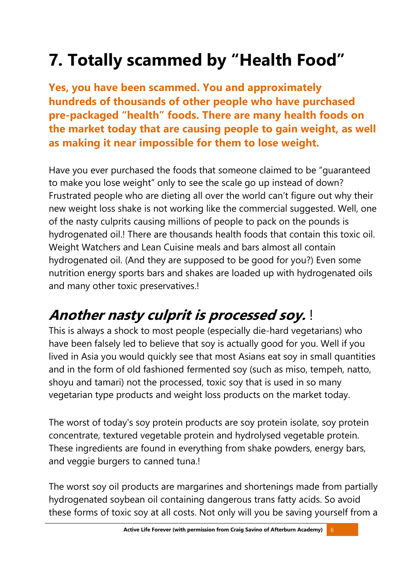# **7. Totally scammed by "Health Food"**

**Yes, you have been scammed. You and approximately hundreds of thousands of other people who have purchased pre-packaged "health" foods. There are many health foods on the market today that are causing people to gain weight, as well as making it near impossible for them to lose weight.**

Have you ever purchased the foods that someone claimed to be "guaranteed to make you lose weight" only to see the scale go up instead of down? Frustrated people who are dieting all over the world can't figure out why their new weight loss shake is not working like the commercial suggested. Well, one of the nasty culprits causing millions of people to pack on the pounds is hydrogenated oil.! There are thousands health foods that contain this toxic oil. Weight Watchers and Lean Cuisine meals and bars almost all contain hydrogenated oil. (And they are supposed to be good for you?) Even some nutrition energy sports bars and shakes are loaded up with hydrogenated oils and many other toxic preservatives.!

#### **Another nasty culprit is processed soy.** !

This is always a shock to most people (especially die-hard vegetarians) who have been falsely led to believe that soy is actually good for you. Well if you lived in Asia you would quickly see that most Asians eat soy in small quantities and in the form of old fashioned fermented soy (such as miso, tempeh, natto, shoyu and tamari) not the processed, toxic soy that is used in so many vegetarian type products and weight loss products on the market today.

The worst of today's soy protein products are soy protein isolate, soy protein concentrate, textured vegetable protein and hydrolysed vegetable protein. These ingredients are found in everything from shake powders, energy bars, and veggie burgers to canned tuna.!

The worst soy oil products are margarines and shortenings made from partially hydrogenated soybean oil containing dangerous trans fatty acids. So avoid these forms of toxic soy at all costs. Not only will you be saving yourself from a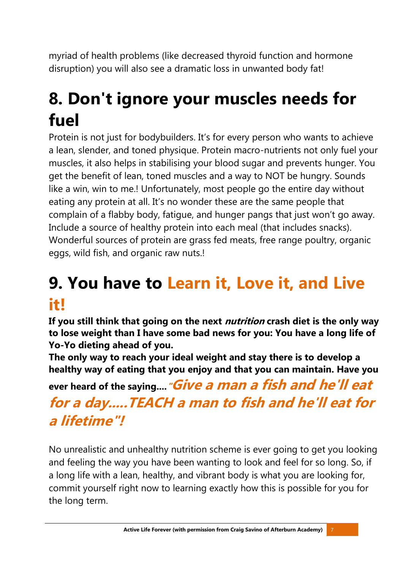myriad of health problems (like decreased thyroid function and hormone disruption) you will also see a dramatic loss in unwanted body fat!

# **8. Don't ignore your muscles needs for fuel**

Protein is not just for bodybuilders. It's for every person who wants to achieve a lean, slender, and toned physique. Protein macro-nutrients not only fuel your muscles, it also helps in stabilising your blood sugar and prevents hunger. You get the benefit of lean, toned muscles and a way to NOT be hungry. Sounds like a win, win to me.! Unfortunately, most people go the entire day without eating any protein at all. It's no wonder these are the same people that complain of a flabby body, fatigue, and hunger pangs that just won't go away. Include a source of healthy protein into each meal (that includes snacks). Wonderful sources of protein are grass fed meats, free range poultry, organic eggs, wild fish, and organic raw nuts.!

### **9. You have to Learn it, Love it, and Live it!**

**If you still think that going on the next nutrition crash diet is the only way to lose weight than I have some bad news for you: You have a long life of Yo-Yo dieting ahead of you.** 

**The only way to reach your ideal weight and stay there is to develop a healthy way of eating that you enjoy and that you can maintain. Have you** 

**ever heard of the saying...."Give a man a fish and he'll eat** 

#### **for a day.....TEACH a man to fish and he'll eat for a lifetime"!**

No unrealistic and unhealthy nutrition scheme is ever going to get you looking and feeling the way you have been wanting to look and feel for so long. So, if a long life with a lean, healthy, and vibrant body is what you are looking for, commit yourself right now to learning exactly how this is possible for you for the long term.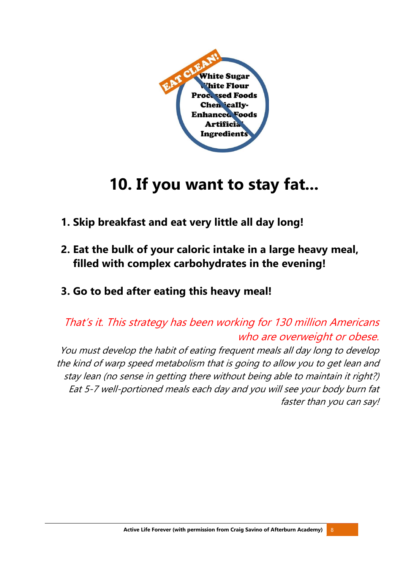

#### **10. If you want to stay fat...**

- **1. Skip breakfast and eat very little all day long!**
- **2. Eat the bulk of your caloric intake in a large heavy meal, filled with complex carbohydrates in the evening!**
- **3. Go to bed after eating this heavy meal!**

That's it. This strategy has been working for 130 million Americans who are overweight or obese. You must develop the habit of eating frequent meals all day long to develop the kind of warp speed metabolism that is going to allow you to get lean and stay lean (no sense in getting there without being able to maintain it right?) Eat 5-7 well-portioned meals each day and you will see your body burn fat faster than you can say!